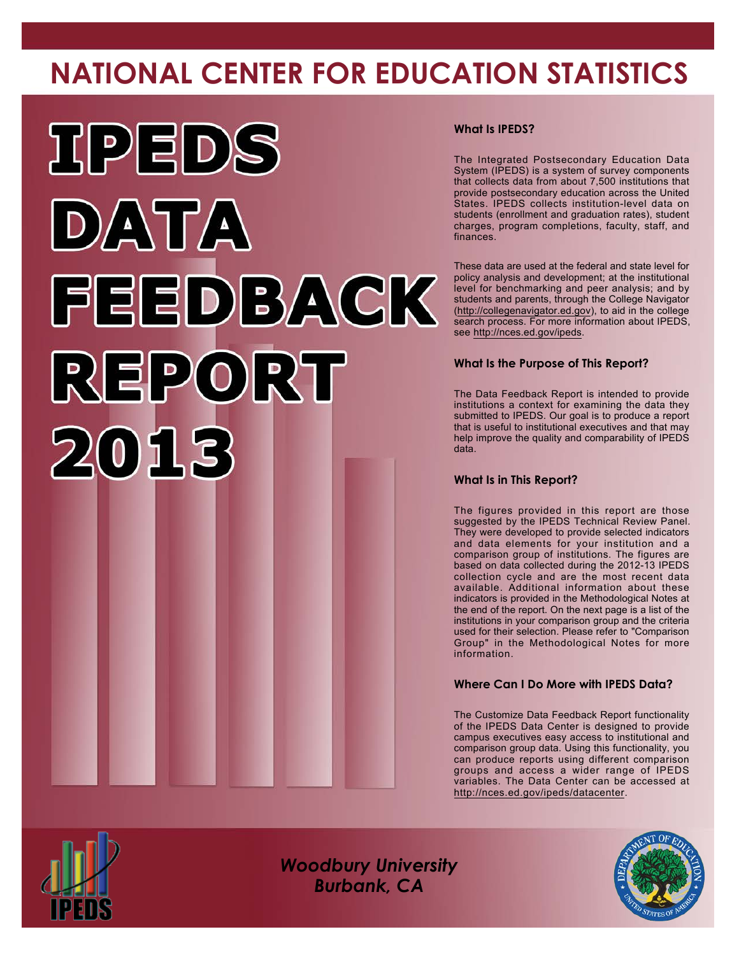# **NATIONAL CENTER FOR EDUCATION STATISTICS**



#### **What Is IPEDS?**

The Integrated Postsecondary Education Data System (IPEDS) is a system of survey components that collects data from about 7,500 institutions that provide postsecondary education across the United States. IPEDS collects institution-level data on students (enrollment and graduation rates), student charges, program completions, faculty, staff, and finances.

These data are used at the federal and state level for policy analysis and development; at the institutional level for benchmarking and peer analysis; and by students and parents, through the College Navigator [\(http://collegenavigator.ed.gov\)](http://collegenavigator.ed.gov), to aid in the college search process. For more information about IPEDS, see <http://nces.ed.gov/ipeds>.

#### **What Is the Purpose of This Report?**

The Data Feedback Report is intended to provide institutions a context for examining the data they submitted to IPEDS. Our goal is to produce a report that is useful to institutional executives and that may help improve the quality and comparability of IPEDS data.

#### **What Is in This Report?**

The figures provided in this report are those suggested by the IPEDS Technical Review Panel. They were developed to provide selected indicators and data elements for your institution and a comparison group of institutions. The figures are based on data collected during the 2012-13 IPEDS collection cycle and are the most recent data available. Additional information about these indicators is provided in the Methodological Notes at the end of the report. On the next page is a list of the institutions in your comparison group and the criteria used for their selection. Please refer to "Comparison Group" in the Methodological Notes for more information.

#### **Where Can I Do More with IPEDS Data?**

The Customize Data Feedback Report functionality of the IPEDS Data Center is designed to provide campus executives easy access to institutional and comparison group data. Using this functionality, you can produce reports using different comparison groups and access a wider range of IPEDS variables. The Data Center can be accessed at <http://nces.ed.gov/ipeds/datacenter>.



*Woodbury University Burbank, CA*

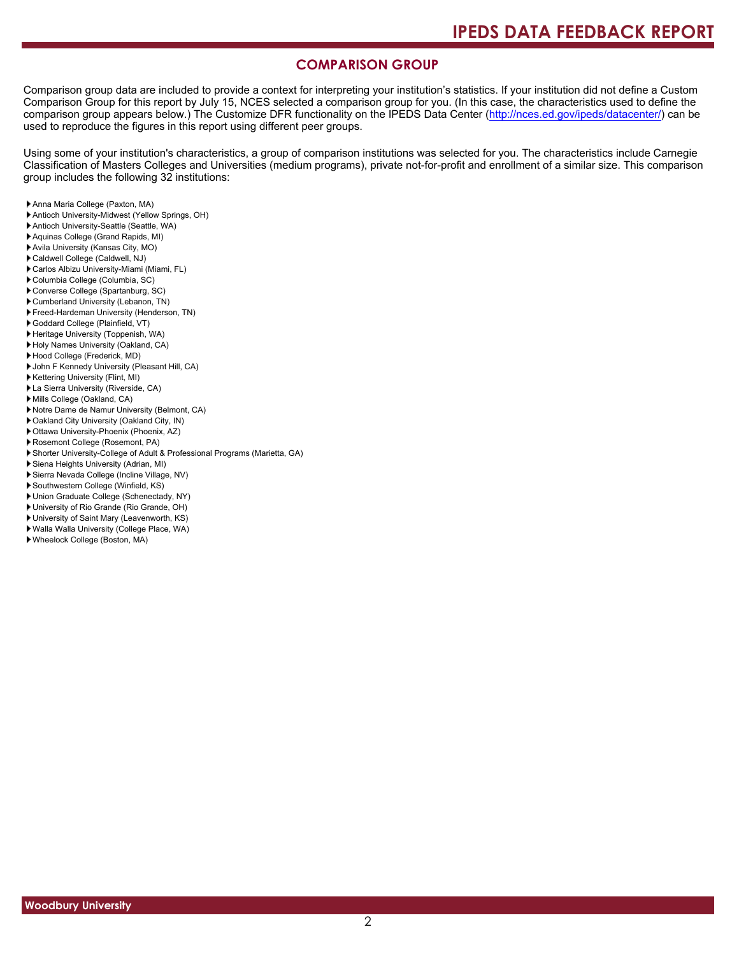#### **COMPARISON GROUP**

Comparison group data are included to provide a context for interpreting your institution's statistics. If your institution did not define a Custom Comparison Group for this report by July 15, NCES selected a comparison group for you. (In this case, the characteristics used to define the comparison group appears below.) The Customize DFR functionality on the IPEDS Data Center [\(http://nces.ed.gov/ipeds/datacenter/\)](http://nces.ed.gov/ipeds/datacenter/) can be used to reproduce the figures in this report using different peer groups.

Using some of your institution's characteristics, a group of comparison institutions was selected for you. The characteristics include Carnegie Classification of Masters Colleges and Universities (medium programs), private not-for-profit and enrollment of a similar size. This comparison group includes the following 32 institutions:

- Anna Maria College (Paxton, MA)
- Antioch University-Midwest (Yellow Springs, OH)
- Antioch University-Seattle (Seattle, WA)
- Aquinas College (Grand Rapids, MI)
- Avila University (Kansas City, MO)
- Caldwell College (Caldwell, NJ)
- Carlos Albizu University-Miami (Miami, FL)
- Columbia College (Columbia, SC)
- Converse College (Spartanburg, SC)
- Cumberland University (Lebanon, TN)
- Freed-Hardeman University (Henderson, TN)
- Goddard College (Plainfield, VT) Heritage University (Toppenish, WA)
- 
- Holy Names University (Oakland, CA) Hood College (Frederick, MD)
- John F Kennedy University (Pleasant Hill, CA)
- Kettering University (Flint, MI)
- La Sierra University (Riverside, CA)
- Mills College (Oakland, CA)
- Notre Dame de Namur University (Belmont, CA)
- Oakland City University (Oakland City, IN)
- Ottawa University-Phoenix (Phoenix, AZ)
- Rosemont College (Rosemont, PA)
- Shorter University-College of Adult & Professional Programs (Marietta, GA)
- Siena Heights University (Adrian, MI)
- Sierra Nevada College (Incline Village, NV)
- Southwestern College (Winfield, KS)
- Union Graduate College (Schenectady, NY)
- University of Rio Grande (Rio Grande, OH)
- University of Saint Mary (Leavenworth, KS)
- Walla Walla University (College Place, WA)
- Wheelock College (Boston, MA)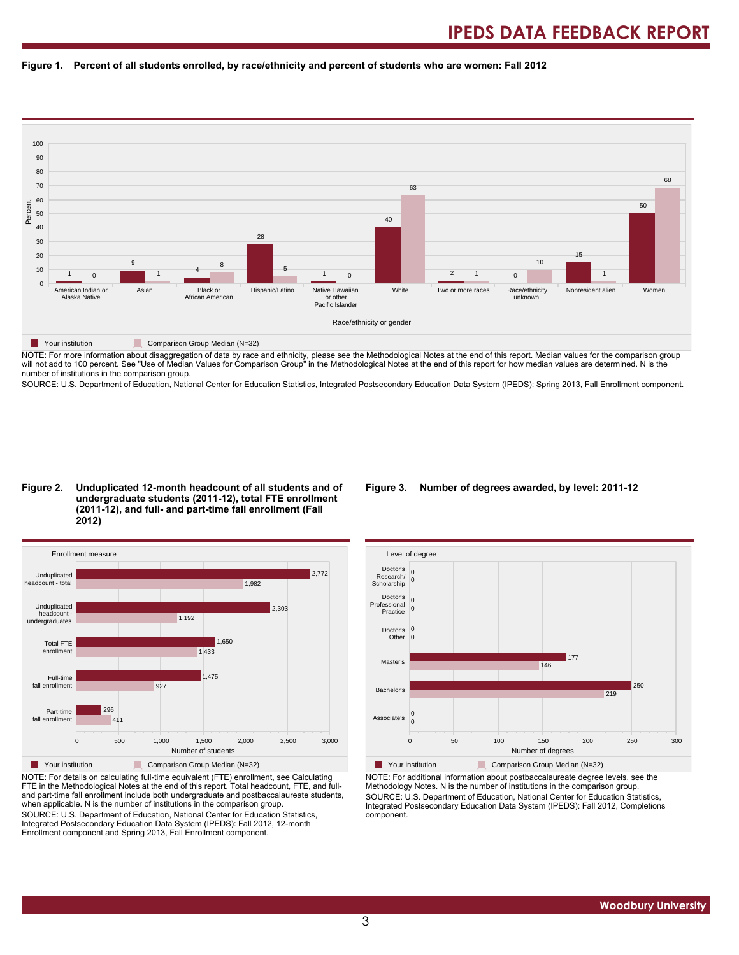



NOTE: For more information about disaggregation of data by race and ethnicity, please see the Methodological Notes at the end of this report. Median values for the comparison group will not add to 100 percent. See "Use of Median Values for Comparison Group" in the Methodological Notes at the end of this report for how median values are determined. N is the number of institutions in the comparison group.

SOURCE: U.S. Department of Education, National Center for Education Statistics, Integrated Postsecondary Education Data System (IPEDS): Spring 2013, Fall Enrollment component.

#### **Figure 2. Unduplicated 12-month headcount of all students and of undergraduate students (2011-12), total FTE enrollment (2011-12), and full- and part-time fall enrollment (Fall 2012)**



NOTE: For details on calculating full-time equivalent (FTE) enrollment, see Calculating FTE in the Methodological Notes at the end of this report. Total headcount, FTE, and fulland part-time fall enrollment include both undergraduate and postbaccalaureate students, when applicable. N is the number of institutions in the comparison group. SOURCE: U.S. Department of Education, National Center for Education Statistics, Integrated Postsecondary Education Data System (IPEDS): Fall 2012, 12-month Enrollment component and Spring 2013, Fall Enrollment component.

#### **Figure 3. Number of degrees awarded, by level: 2011-12**



NOTE: For additional information about postbaccalaureate degree levels, see the Methodology Notes. N is the number of institutions in the comparison group. SOURCE: U.S. Department of Education, National Center for Education Statistics, Integrated Postsecondary Education Data System (IPEDS): Fall 2012, Completions component.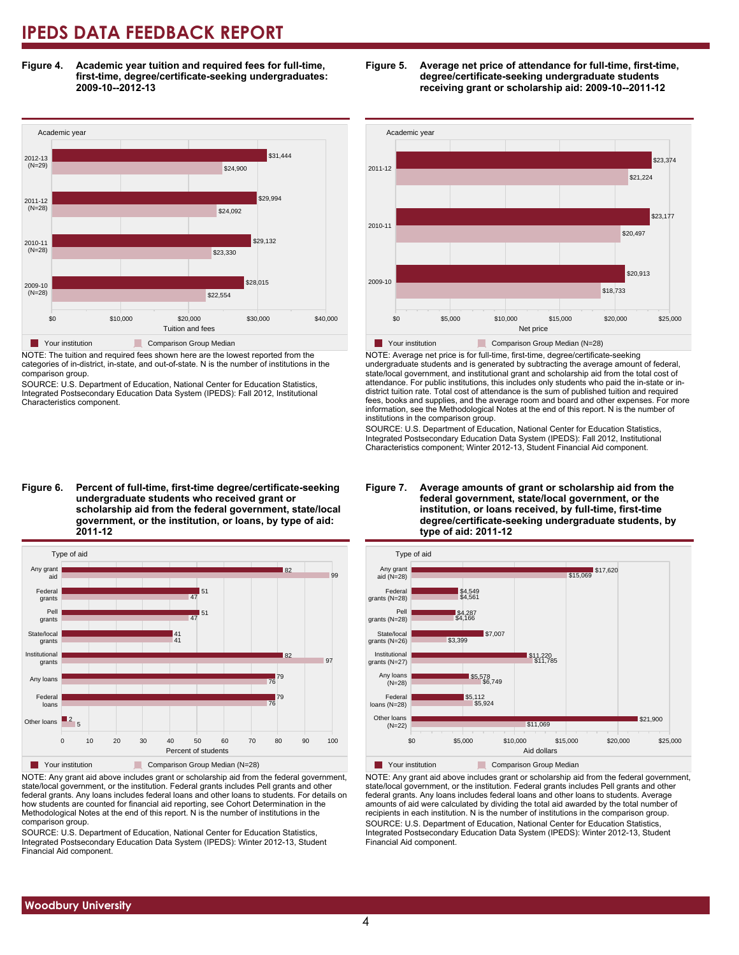**Figure 4. Academic year tuition and required fees for full-time, first-time, degree/certificate-seeking undergraduates: 2009-10--2012-13**



NOTE: The tuition and required fees shown here are the lowest reported from the categories of in-district, in-state, and out-of-state. N is the number of institutions in the comparison group.

SOURCE: U.S. Department of Education, National Center for Education Statistics, Integrated Postsecondary Education Data System (IPEDS): Fall 2012, Institutional Characteristics component.





NOTE: Any grant aid above includes grant or scholarship aid from the federal government, state/local government, or the institution. Federal grants includes Pell grants and other federal grants. Any loans includes federal loans and other loans to students. For details on how students are counted for financial aid reporting, see Cohort Determination in the Methodological Notes at the end of this report. N is the number of institutions in the comparison group.

SOURCE: U.S. Department of Education, National Center for Education Statistics, Integrated Postsecondary Education Data System (IPEDS): Winter 2012-13, Student Financial Aid component.





NOTE: Average net price is for full-time, first-time, degree/certificate-seeking undergraduate students and is generated by subtracting the average amount of federal, state/local government, and institutional grant and scholarship aid from the total cost of attendance. For public institutions, this includes only students who paid the in-state or indistrict tuition rate. Total cost of attendance is the sum of published tuition and required fees, books and supplies, and the average room and board and other expenses. For more information, see the Methodological Notes at the end of this report. N is the number of institutions in the comparison group.

SOURCE: U.S. Department of Education, National Center for Education Statistics, Integrated Postsecondary Education Data System (IPEDS): Fall 2012, Institutional Characteristics component; Winter 2012-13, Student Financial Aid component.



#### NOTE: Any grant aid above includes grant or scholarship aid from the federal government, state/local government, or the institution. Federal grants includes Pell grants and other federal grants. Any loans includes federal loans and other loans to students. Average amounts of aid were calculated by dividing the total aid awarded by the total number of recipients in each institution. N is the number of institutions in the comparison group. SOURCE: U.S. Department of Education, National Center for Education Statistics, Integrated Postsecondary Education Data System (IPEDS): Winter 2012-13, Student Financial Aid component.

#### **Figure 7. Average amounts of grant or scholarship aid from the federal government, state/local government, or the institution, or loans received, by full-time, first-time degree/certificate-seeking undergraduate students, by type of aid: 2011-12**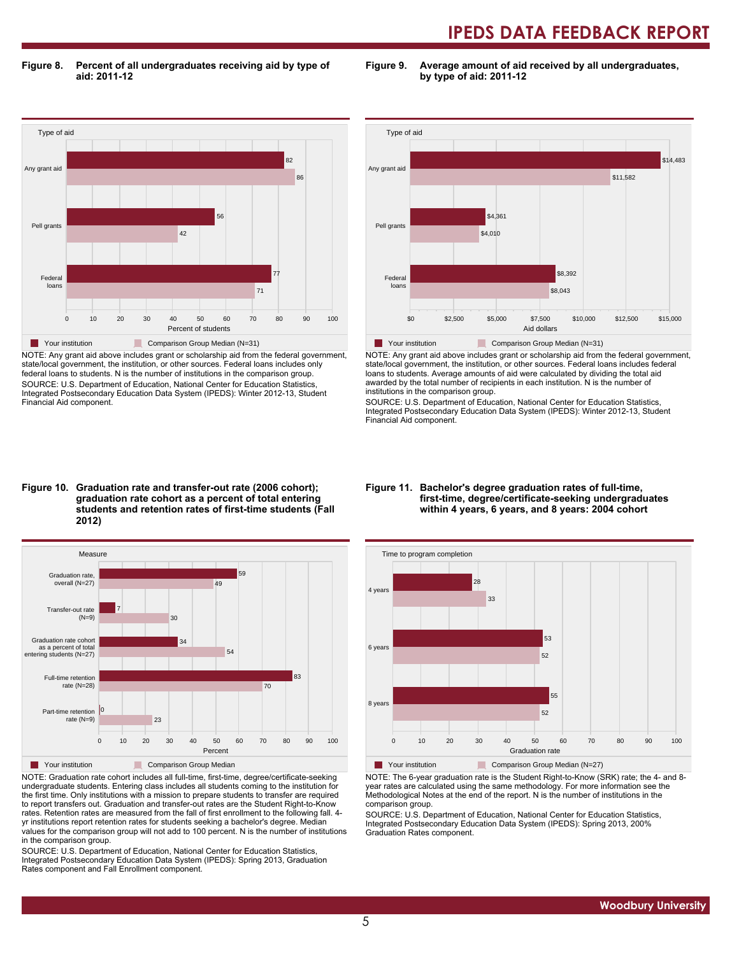**Figure 8. Percent of all undergraduates receiving aid by type of aid: 2011-12**

**Figure 9. Average amount of aid received by all undergraduates, by type of aid: 2011-12**



NOTE: Any grant aid above includes grant or scholarship aid from the federal government, state/local government, the institution, or other sources. Federal loans includes only federal loans to students. N is the number of institutions in the comparison group. SOURCE: U.S. Department of Education, National Center for Education Statistics, Integrated Postsecondary Education Data System (IPEDS): Winter 2012-13, Student Financial Aid component.



NOTE: Any grant aid above includes grant or scholarship aid from the federal government, state/local government, the institution, or other sources. Federal loans includes federal loans to students. Average amounts of aid were calculated by dividing the total aid awarded by the total number of recipients in each institution. N is the number of institutions in the comparison group.

SOURCE: U.S. Department of Education, National Center for Education Statistics, Integrated Postsecondary Education Data System (IPEDS): Winter 2012-13, Student Financial Aid component.

#### **Figure 10. Graduation rate and transfer-out rate (2006 cohort); graduation rate cohort as a percent of total entering students and retention rates of first-time students (Fall 2012)**



NOTE: Graduation rate cohort includes all full-time, first-time, degree/certificate-seeking undergraduate students. Entering class includes all students coming to the institution for the first time. Only institutions with a mission to prepare students to transfer are required to report transfers out. Graduation and transfer-out rates are the Student Right-to-Know rates. Retention rates are measured from the fall of first enrollment to the following fall. 4 yr institutions report retention rates for students seeking a bachelor's degree. Median values for the comparison group will not add to 100 percent. N is the number of institutions in the comparison group.

SOURCE: U.S. Department of Education, National Center for Education Statistics, Integrated Postsecondary Education Data System (IPEDS): Spring 2013, Graduation Rates component and Fall Enrollment component.

#### **Figure 11. Bachelor's degree graduation rates of full-time, first-time, degree/certificate-seeking undergraduates within 4 years, 6 years, and 8 years: 2004 cohort**



NOTE: The 6-year graduation rate is the Student Right-to-Know (SRK) rate; the 4- and 8 year rates are calculated using the same methodology. For more information see the Methodological Notes at the end of the report. N is the number of institutions in the comparison group.

SOURCE: U.S. Department of Education, National Center for Education Statistics, Integrated Postsecondary Education Data System (IPEDS): Spring 2013, 200% Graduation Rates component.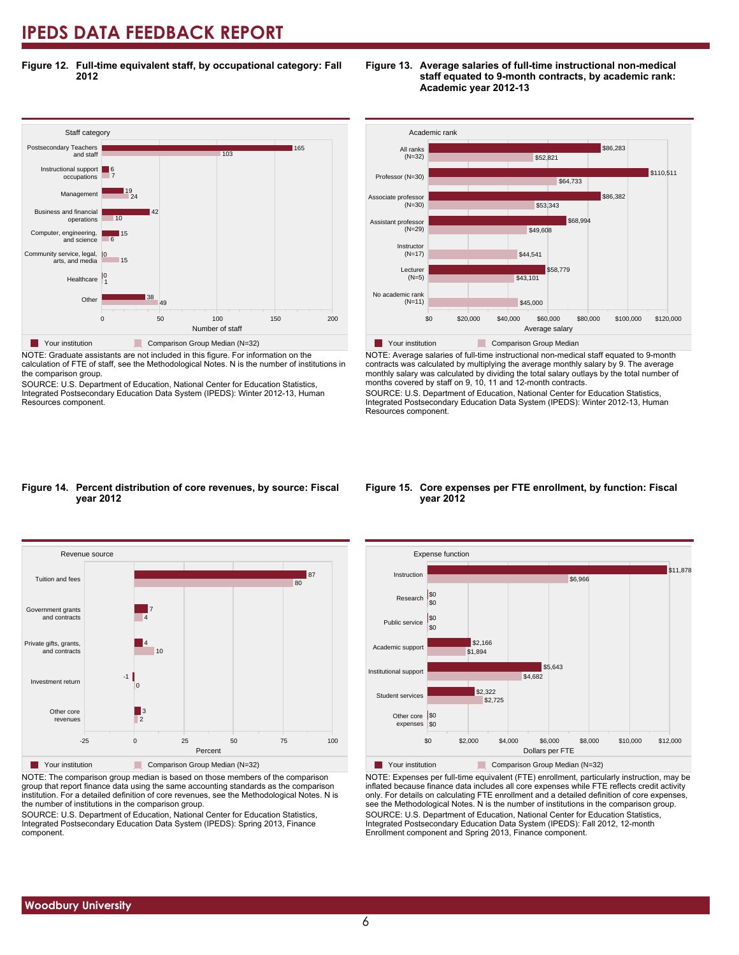**Figure 12. Full-time equivalent staff, by occupational category: Fall 2012**



NOTE: Graduate assistants are not included in this figure. For information on the calculation of FTE of staff, see the Methodological Notes. N is the number of institutions in the comparison group.

SOURCE: U.S. Department of Education, National Center for Education Statistics, Integrated Postsecondary Education Data System (IPEDS): Winter 2012-13, Human Resources component.





NOTE: Average salaries of full-time instructional non-medical staff equated to 9-month contracts was calculated by multiplying the average monthly salary by 9. The average monthly salary was calculated by dividing the total salary outlays by the total number of months covered by staff on 9, 10, 11 and 12-month contracts.

SOURCE: U.S. Department of Education, National Center for Education Statistics, Integrated Postsecondary Education Data System (IPEDS): Winter 2012-13, Human Resources component.

#### **Figure 14. Percent distribution of core revenues, by source: Fiscal year 2012**



NOTE: The comparison group median is based on those members of the comparison group that report finance data using the same accounting standards as the comparison institution. For a detailed definition of core revenues, see the Methodological Notes. N is the number of institutions in the comparison group.

SOURCE: U.S. Department of Education, National Center for Education Statistics, Integrated Postsecondary Education Data System (IPEDS): Spring 2013, Finance component.

#### **Figure 15. Core expenses per FTE enrollment, by function: Fiscal year 2012**



NOTE: Expenses per full-time equivalent (FTE) enrollment, particularly instruction, may be inflated because finance data includes all core expenses while FTE reflects credit activity only. For details on calculating FTE enrollment and a detailed definition of core expenses, see the Methodological Notes. N is the number of institutions in the comparison group. SOURCE: U.S. Department of Education, National Center for Education Statistics, Integrated Postsecondary Education Data System (IPEDS): Fall 2012, 12-month Enrollment component and Spring 2013, Finance component.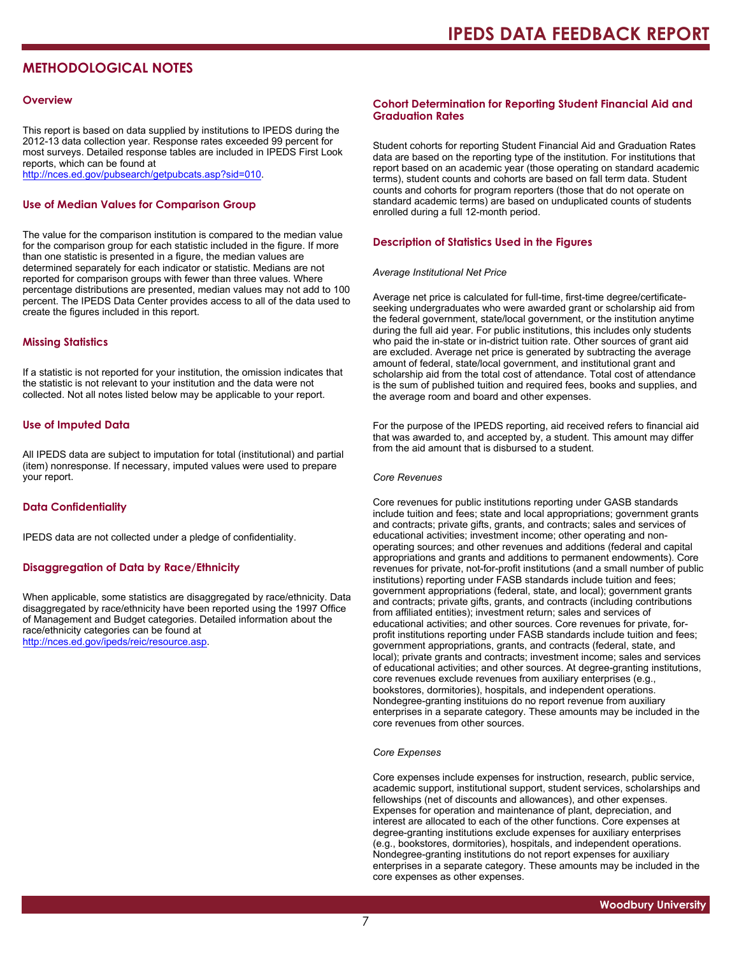### **METHODOLOGICAL NOTES**

#### **Overview**

This report is based on data supplied by institutions to IPEDS during the 2012-13 data collection year. Response rates exceeded 99 percent for most surveys. Detailed response tables are included in IPEDS First Look reports, which can be found at [http://nces.ed.gov/pubsearch/getpubcats.asp?sid=010.](http://nces.ed.gov/pubsearch/getpubcats.asp?sid=010)

#### **Use of Median Values for Comparison Group**

The value for the comparison institution is compared to the median value for the comparison group for each statistic included in the figure. If more than one statistic is presented in a figure, the median values are determined separately for each indicator or statistic. Medians are not reported for comparison groups with fewer than three values. Where percentage distributions are presented, median values may not add to 100 percent. The IPEDS Data Center provides access to all of the data used to create the figures included in this report.

#### **Missing Statistics**

If a statistic is not reported for your institution, the omission indicates that the statistic is not relevant to your institution and the data were not collected. Not all notes listed below may be applicable to your report.

#### **Use of Imputed Data**

All IPEDS data are subject to imputation for total (institutional) and partial (item) nonresponse. If necessary, imputed values were used to prepare your report.

#### **Data Confidentiality**

IPEDS data are not collected under a pledge of confidentiality.

#### **Disaggregation of Data by Race/Ethnicity**

When applicable, some statistics are disaggregated by race/ethnicity. Data disaggregated by race/ethnicity have been reported using the 1997 Office of Management and Budget categories. Detailed information about the race/ethnicity categories can be found at <http://nces.ed.gov/ipeds/reic/resource.asp>.

#### **Cohort Determination for Reporting Student Financial Aid and Graduation Rates**

Student cohorts for reporting Student Financial Aid and Graduation Rates data are based on the reporting type of the institution. For institutions that report based on an academic year (those operating on standard academic terms), student counts and cohorts are based on fall term data. Student counts and cohorts for program reporters (those that do not operate on standard academic terms) are based on unduplicated counts of students enrolled during a full 12-month period.

#### **Description of Statistics Used in the Figures**

#### *Average Institutional Net Price*

Average net price is calculated for full-time, first-time degree/certificateseeking undergraduates who were awarded grant or scholarship aid from the federal government, state/local government, or the institution anytime during the full aid year. For public institutions, this includes only students who paid the in-state or in-district tuition rate. Other sources of grant aid are excluded. Average net price is generated by subtracting the average amount of federal, state/local government, and institutional grant and scholarship aid from the total cost of attendance. Total cost of attendance is the sum of published tuition and required fees, books and supplies, and the average room and board and other expenses.

For the purpose of the IPEDS reporting, aid received refers to financial aid that was awarded to, and accepted by, a student. This amount may differ from the aid amount that is disbursed to a student.

#### *Core Revenues*

Core revenues for public institutions reporting under GASB standards include tuition and fees; state and local appropriations; government grants and contracts; private gifts, grants, and contracts; sales and services of educational activities; investment income; other operating and nonoperating sources; and other revenues and additions (federal and capital appropriations and grants and additions to permanent endowments). Core revenues for private, not-for-profit institutions (and a small number of public institutions) reporting under FASB standards include tuition and fees; government appropriations (federal, state, and local); government grants and contracts; private gifts, grants, and contracts (including contributions from affiliated entities); investment return; sales and services of educational activities; and other sources. Core revenues for private, forprofit institutions reporting under FASB standards include tuition and fees; government appropriations, grants, and contracts (federal, state, and local); private grants and contracts; investment income; sales and services of educational activities; and other sources. At degree-granting institutions, core revenues exclude revenues from auxiliary enterprises (e.g., bookstores, dormitories), hospitals, and independent operations. Nondegree-granting instituions do no report revenue from auxiliary enterprises in a separate category. These amounts may be included in the core revenues from other sources.

#### *Core Expenses*

Core expenses include expenses for instruction, research, public service, academic support, institutional support, student services, scholarships and fellowships (net of discounts and allowances), and other expenses. Expenses for operation and maintenance of plant, depreciation, and interest are allocated to each of the other functions. Core expenses at degree-granting institutions exclude expenses for auxiliary enterprises (e.g., bookstores, dormitories), hospitals, and independent operations. Nondegree-granting institutions do not report expenses for auxiliary enterprises in a separate category. These amounts may be included in the core expenses as other expenses.